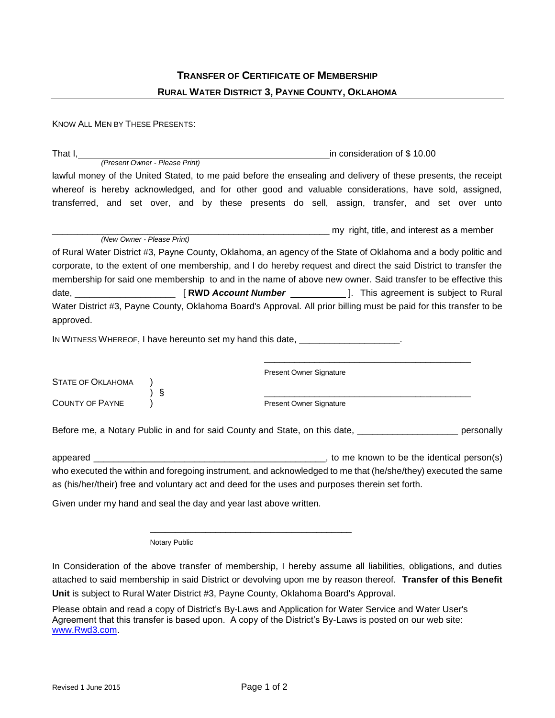| <b>TRANSFER OF CERTIFICATE OF MEMBERSHIP</b>          |
|-------------------------------------------------------|
| <b>RURAL WATER DISTRICT 3, PAYNE COUNTY, OKLAHOMA</b> |

KNOW ALL MEN BY THESE PRESENTS: That I, <u>in consideration of \$ 10.00</u> *(Present Owner - Please Print)* lawful money of the United Stated, to me paid before the ensealing and delivery of these presents, the receipt whereof is hereby acknowledged, and for other good and valuable considerations, have sold, assigned, transferred, and set over, and by these presents do sell, assign, transfer, and set over unto \_\_\_\_\_\_\_\_\_\_\_\_\_\_\_\_\_\_\_\_\_\_\_\_\_\_\_\_\_\_\_\_\_\_\_\_\_\_\_\_\_\_\_\_\_\_\_\_\_\_\_\_\_\_\_ my right, title, and interest as a member *(New Owner - Please Print)* of Rural Water District #3, Payne County, Oklahoma, an agency of the State of Oklahoma and a body politic and corporate, to the extent of one membership, and I do hereby request and direct the said District to transfer the membership for said one membership to and in the name of above new owner. Said transfer to be effective this date, \_\_\_\_\_\_\_\_\_\_\_\_\_\_\_\_\_\_\_\_\_\_\_ [ **RWD** *Account Number* \_\_\_\_\_\_\_\_\_\_\_\_\_\_\_]. This agreement is subject to Rural Water District #3, Payne County, Oklahoma Board's Approval. All prior billing must be paid for this transfer to be approved. IN WITNESS WHEREOF, I have hereunto set my hand this date, \_\_\_\_\_\_\_\_\_\_\_\_\_\_\_\_\_\_\_\_. \_\_\_\_\_\_\_\_\_\_\_\_\_\_\_\_\_\_\_\_\_\_\_\_\_\_\_\_\_\_\_\_\_\_\_\_\_\_\_\_\_ Present Owner Signature STATE OF OKLAHOMA

COUNTY OF PAYNE ) Present Owner Signature

) § \_\_\_\_\_\_\_\_\_\_\_\_\_\_\_\_\_\_\_\_\_\_\_\_\_\_\_\_\_\_\_\_\_\_\_\_\_\_\_\_\_

Before me, a Notary Public in and for said County and State, on this date, **Example 20** sersonally

appeared \_\_\_\_\_\_\_\_\_\_\_\_\_\_\_\_\_\_\_\_\_\_\_\_\_\_\_\_\_\_\_\_\_\_\_\_\_\_\_\_\_\_\_\_\_\_, to me known to be the identical person(s) who executed the within and foregoing instrument, and acknowledged to me that (he/she/they) executed the same as (his/her/their) free and voluntary act and deed for the uses and purposes therein set forth.

Given under my hand and seal the day and year last above written.

Notary Public

In Consideration of the above transfer of membership, I hereby assume all liabilities, obligations, and duties attached to said membership in said District or devolving upon me by reason thereof. **Transfer of this Benefit Unit** is subject to Rural Water District #3, Payne County, Oklahoma Board's Approval.

Please obtain and read a copy of District's By-Laws and Application for Water Service and Water User's Agreement that this transfer is based upon. A copy of the District's By-Laws is posted on our web site: [www.Rwd3.com.](http://www.rwd3.com/)

\_\_\_\_\_\_\_\_\_\_\_\_\_\_\_\_\_\_\_\_\_\_\_\_\_\_\_\_\_\_\_\_\_\_\_\_\_\_\_\_